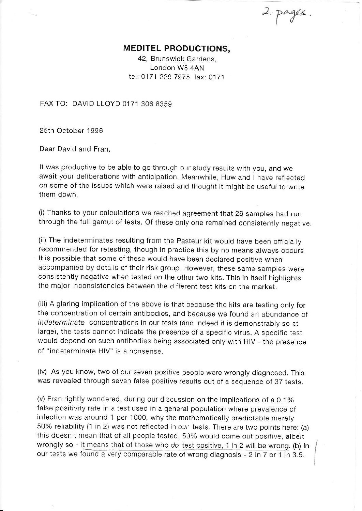$\sim$  pages.

## MEDITEL PRODUCTIONS,

42, Brunswick Gardens, London W8 4AN tel: 0171 229 7975 fax: 0171

FAX TO: DAVID LLOYD 0171 306 8359

25th October 1996

Dear David and Fran,

It was productive to be able to go through our study results with you, and we await your deliberations with anticipation. Meanwhjle, Huw and I have reflected on some of the lssues which were raised and thought it miqht be useful to write them down

(i) Thanks to your calculations we reached agreement that 26 samples had run through the full gamut of tests. Of these only one remained consistently negative.

(ii) The indeterminates resulting from the pasteur kit would have been officially recommended for retesting, though in practice this by no means always occurs. It is possible that some of these would have been declared positive when accompanied by details of their risk group. However, these same samples were consistently negative when tested on the other two kits. This in itself highlights the major inconsistencies between the different test kits on the market.

(iii) A glaring implication of the above is that because the kits are testing onty for the concentration of certain antibodies, and because we found an abundance of indeterminate concentrations in our tests (and indeed it is demonstrably so at large), the tests cannot indicate the presence of a specific virus. A specific test would depend on such antibodies being associated only with HIV - the presence of "indeterminate HlV" is a nonsense

(iv) As you know, two of our seven positive people were wrongly diagnosed. This was revealed through seven false posjtive results out of a sequence ot 37 tests.

(v) Fran rightly wondered, during our discussion on the implicatjons of a O.1yo false positivity rate in a test used in a general population where prevalence of infection was around 1 per 1000, why the mathematically predictable merely 50% reliability (1 in 2) was not reflected in our tests. There are two points here: (a) this doesn't mean that of all people tested, 50% woutd come out positive, albeit wrongly so - it means that of those who do test positive, 1 in 2 will be wrong. (b) In our tests we found a very comparable rate of wrong diagnosis - 2 in 7 or 1 in 3.5.